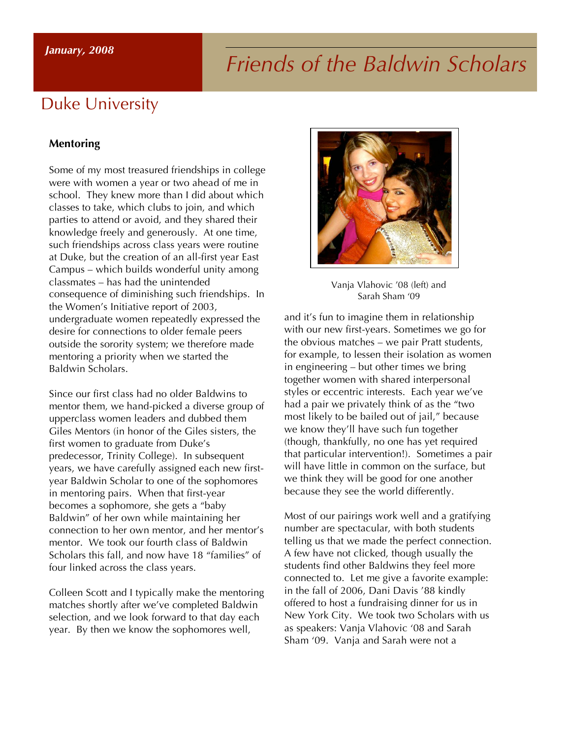#### *January, 2008*

# *Friends of the Baldwin Scholars*

# Duke University

#### **Mentoring**

Some of my most treasured friendships in college were with women a year or two ahead of me in school. They knew more than I did about which classes to take, which clubs to join, and which parties to attend or avoid, and they shared their knowledge freely and generously. At one time, such friendships across class years were routine at Duke, but the creation of an all-first year East Campus – which builds wonderful unity among classmates – has had the unintended consequence of diminishing such friendships. In the Women's Initiative report of 2003, undergraduate women repeatedly expressed the desire for connections to older female peers outside the sorority system; we therefore made mentoring a priority when we started the Baldwin Scholars.

Since our first class had no older Baldwins to mentor them, we hand-picked a diverse group of upperclass women leaders and dubbed them Giles Mentors (in honor of the Giles sisters, the first women to graduate from Duke's predecessor, Trinity College). In subsequent years, we have carefully assigned each new firstyear Baldwin Scholar to one of the sophomores in mentoring pairs. When that first-year becomes a sophomore, she gets a "baby Baldwin" of her own while maintaining her connection to her own mentor, and her mentor's mentor. We took our fourth class of Baldwin Scholars this fall, and now have 18 "families" of four linked across the class years.

Colleen Scott and I typically make the mentoring matches shortly after we've completed Baldwin selection, and we look forward to that day each year. By then we know the sophomores well,



Vanja Vlahovic '08 (left) and Sarah Sham '09

and it's fun to imagine them in relationship with our new first-years. Sometimes we go for the obvious matches – we pair Pratt students, for example, to lessen their isolation as women in engineering – but other times we bring together women with shared interpersonal styles or eccentric interests. Each year we've had a pair we privately think of as the "two most likely to be bailed out of jail," because we know they'll have such fun together (though, thankfully, no one has yet required that particular intervention!). Sometimes a pair will have little in common on the surface, but we think they will be good for one another because they see the world differently.

Most of our pairings work well and a gratifying number are spectacular, with both students telling us that we made the perfect connection. A few have not clicked, though usually the students find other Baldwins they feel more connected to. Let me give a favorite example: in the fall of 2006, Dani Davis '88 kindly offered to host a fundraising dinner for us in New York City. We took two Scholars with us as speakers: Vanja Vlahovic '08 and Sarah Sham '09. Vanja and Sarah were not a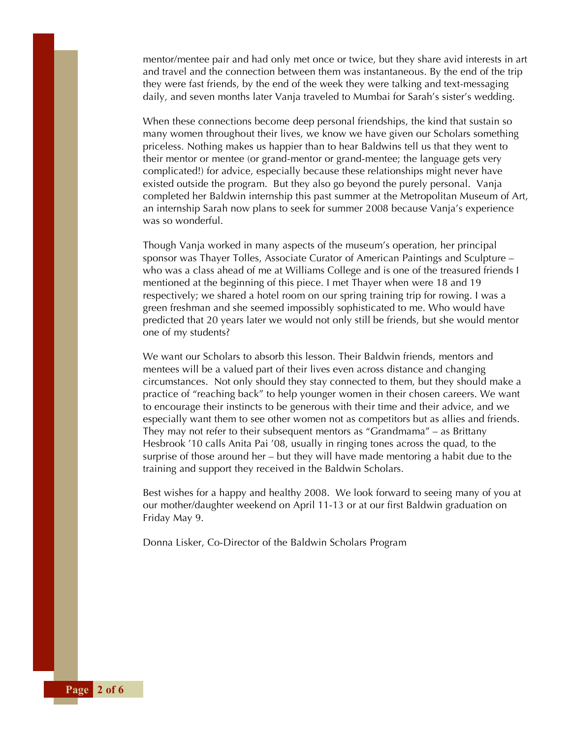mentor/mentee pair and had only met once or twice, but they share avid interests in art and travel and the connection between them was instantaneous. By the end of the trip they were fast friends, by the end of the week they were talking and text-messaging daily, and seven months later Vanja traveled to Mumbai for Sarah's sister's wedding.

When these connections become deep personal friendships, the kind that sustain so many women throughout their lives, we know we have given our Scholars something priceless. Nothing makes us happier than to hear Baldwins tell us that they went to their mentor or mentee (or grand-mentor or grand-mentee; the language gets very complicated!) for advice, especially because these relationships might never have existed outside the program. But they also go beyond the purely personal. Vanja completed her Baldwin internship this past summer at the Metropolitan Museum of Art, an internship Sarah now plans to seek for summer 2008 because Vanja's experience was so wonderful.

Though Vanja worked in many aspects of the museum's operation, her principal sponsor was Thayer Tolles, Associate Curator of American Paintings and Sculpture – who was a class ahead of me at Williams College and is one of the treasured friends I mentioned at the beginning of this piece. I met Thayer when were 18 and 19 respectively; we shared a hotel room on our spring training trip for rowing. I was a green freshman and she seemed impossibly sophisticated to me. Who would have predicted that 20 years later we would not only still be friends, but she would mentor one of my students?

We want our Scholars to absorb this lesson. Their Baldwin friends, mentors and mentees will be a valued part of their lives even across distance and changing circumstances. Not only should they stay connected to them, but they should make a practice of "reaching back" to help younger women in their chosen careers. We want to encourage their instincts to be generous with their time and their advice, and we especially want them to see other women not as competitors but as allies and friends. They may not refer to their subsequent mentors as "Grandmama" – as Brittany Hesbrook '10 calls Anita Pai '08, usually in ringing tones across the quad, to the surprise of those around her – but they will have made mentoring a habit due to the training and support they received in the Baldwin Scholars.

Best wishes for a happy and healthy 2008. We look forward to seeing many of you at our mother/daughter weekend on April 11-13 or at our first Baldwin graduation on Friday May 9.

Donna Lisker, Co-Director of the Baldwin Scholars Program

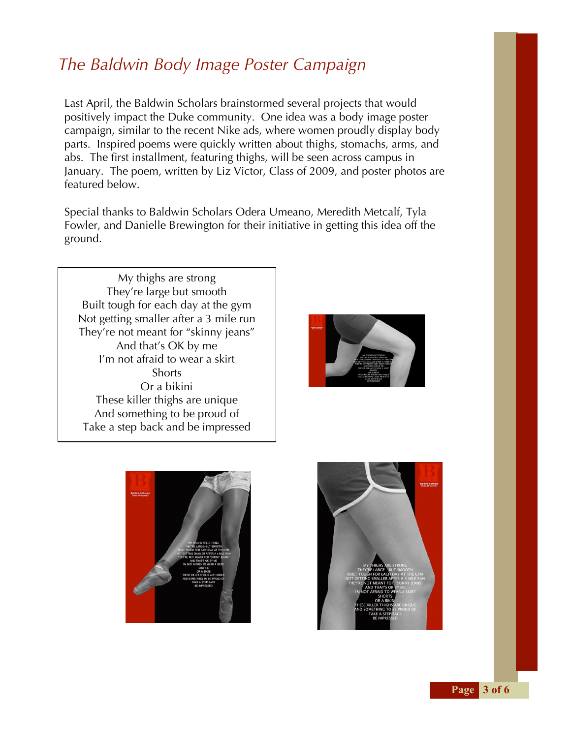# *The Baldwin Body Image Poster Campaign*

Last April, the Baldwin Scholars brainstormed several projects that would positively impact the Duke community. One idea was a body image poster campaign, similar to the recent Nike ads, where women proudly display body parts. Inspired poems were quickly written about thighs, stomachs, arms, and abs. The first installment, featuring thighs, will be seen across campus in January. The poem, written by Liz Victor, Class of 2009, and poster photos are featured below.

Special thanks to Baldwin Scholars Odera Umeano, Meredith Metcalf, Tyla Fowler, and Danielle Brewington for their initiative in getting this idea off the ground.

My thighs are strong They're large but smooth Built tough for each day at the gym Not getting smaller after a 3 mile run They're not meant for "skinny jeans" And that's OK by me I'm not afraid to wear a skirt **Shorts** Or a bikini These killer thighs are unique And something to be proud of Take a step back and be impressed





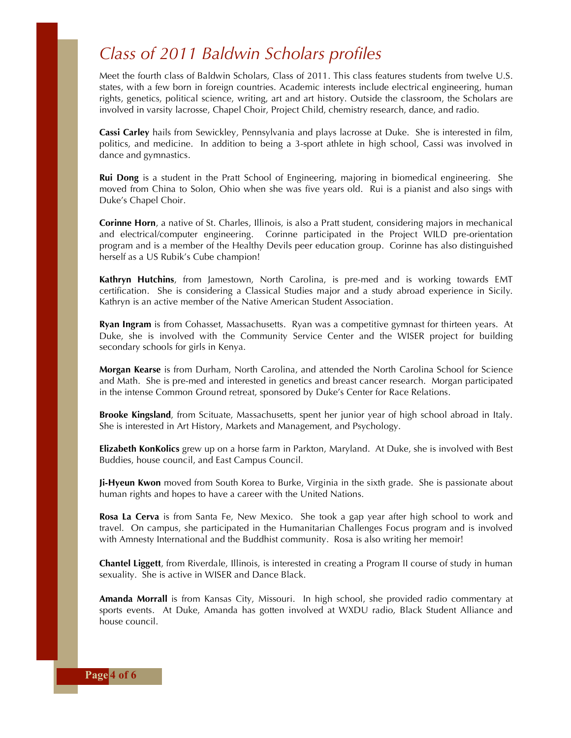# *Class of 2011 Baldwin Scholars profiles*

Meet the fourth class of Baldwin Scholars, Class of 2011. This class features students from twelve U.S. states, with a few born in foreign countries. Academic interests include electrical engineering, human rights, genetics, political science, writing, art and art history. Outside the classroom, the Scholars are involved in varsity lacrosse, Chapel Choir, Project Child, chemistry research, dance, and radio.

**Cassi Carley** hails from Sewickley, Pennsylvania and plays lacrosse at Duke. She is interested in film, politics, and medicine. In addition to being a 3-sport athlete in high school, Cassi was involved in dance and gymnastics.

**Rui Dong** is a student in the Pratt School of Engineering, majoring in biomedical engineering. She moved from China to Solon, Ohio when she was five years old. Rui is a pianist and also sings with Duke's Chapel Choir.

**Corinne Horn**, a native of St. Charles, Illinois, is also a Pratt student, considering majors in mechanical and electrical/computer engineering. Corinne participated in the Project WILD pre-orientation program and is a member of the Healthy Devils peer education group. Corinne has also distinguished herself as a US Rubik's Cube champion!

**Kathryn Hutchins**, from Jamestown, North Carolina, is pre-med and is working towards EMT certification. She is considering a Classical Studies major and a study abroad experience in Sicily. Kathryn is an active member of the Native American Student Association.

**Ryan Ingram** is from Cohasset, Massachusetts. Ryan was a competitive gymnast for thirteen years. At Duke, she is involved with the Community Service Center and the WISER project for building secondary schools for girls in Kenya.

**Morgan Kearse** is from Durham, North Carolina, and attended the North Carolina School for Science and Math. She is pre-med and interested in genetics and breast cancer research. Morgan participated in the intense Common Ground retreat, sponsored by Duke's Center for Race Relations.

**Brooke Kingsland**, from Scituate, Massachusetts, spent her junior year of high school abroad in Italy. She is interested in Art History, Markets and Management, and Psychology.

**Elizabeth KonKolics** grew up on a horse farm in Parkton, Maryland. At Duke, she is involved with Best Buddies, house council, and East Campus Council.

**Ji-Hyeun Kwon** moved from South Korea to Burke, Virginia in the sixth grade. She is passionate about human rights and hopes to have a career with the United Nations.

**Rosa La Cerva** is from Santa Fe, New Mexico. She took a gap year after high school to work and travel. On campus, she participated in the Humanitarian Challenges Focus program and is involved with Amnesty International and the Buddhist community. Rosa is also writing her memoir!

**Chantel Liggett**, from Riverdale, Illinois, is interested in creating a Program II course of study in human sexuality. She is active in WISER and Dance Black.

**Amanda Morrall** is from Kansas City, Missouri. In high school, she provided radio commentary at sports events. At Duke, Amanda has gotten involved at WXDU radio, Black Student Alliance and house council.

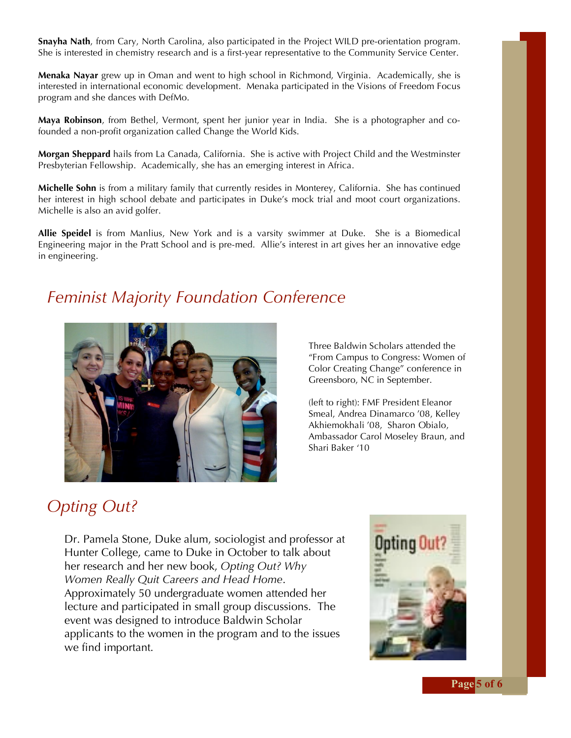**Snayha Nath**, from Cary, North Carolina, also participated in the Project WILD pre-orientation program. She is interested in chemistry research and is a first-year representative to the Community Service Center.

**Menaka Nayar** grew up in Oman and went to high school in Richmond, Virginia. Academically, she is interested in international economic development. Menaka participated in the Visions of Freedom Focus program and she dances with DefMo.

**Maya Robinson**, from Bethel, Vermont, spent her junior year in India. She is a photographer and cofounded a non-profit organization called Change the World Kids.

**Morgan Sheppard** hails from La Canada, California. She is active with Project Child and the Westminster Presbyterian Fellowship. Academically, she has an emerging interest in Africa.

**Michelle Sohn** is from a military family that currently resides in Monterey, California. She has continued her interest in high school debate and participates in Duke's mock trial and moot court organizations. Michelle is also an avid golfer.

**Allie Speidel** is from Manlius, New York and is a varsity swimmer at Duke. She is a Biomedical Engineering major in the Pratt School and is pre-med. Allie's interest in art gives her an innovative edge in engineering.

### *Feminist Majority Foundation Conference*



Three Baldwin Scholars attended the "From Campus to Congress: Women of Color Creating Change" conference in Greensboro, NC in September.

(left to right): FMF President Eleanor Smeal, Andrea Dinamarco '08, Kelley Akhiemokhali '08, Sharon Obialo, Ambassador Carol Moseley Braun, and Shari Baker '10

# *Opting Out?*

Dr. Pamela Stone, Duke alum, sociologist and professor at Hunter College, came to Duke in October to talk about her research and her new book, *Opting Out? Why Women Really Quit Careers and Head Home*. Approximately 50 undergraduate women attended her lecture and participated in small group discussions. The event was designed to introduce Baldwin Scholar applicants to the women in the program and to the issues we find important.